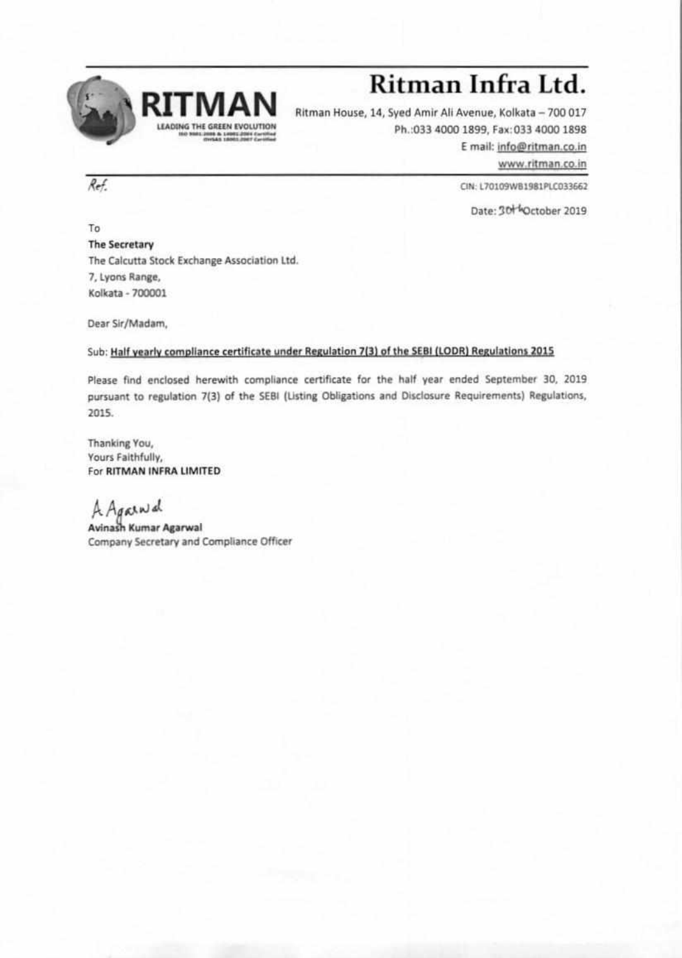

## **Ritman Infra Ltd.**

Ritman House, 14, Syed Amir Ali Avenue, Kolkata - 700 017 Ph.:033 4000 1899, Fax:033 4000 1898 E mail: info@ritman.co.in

www.ritman.co.in

CIN: L70109WB1981PLC033662

Date: 30Hoctober 2019

To The Secretary The Calcutta Stock Exchange Association ltd 7, Lyons Range, Kolkata - 700001

Dear Sir/Madam,

## Sub: Half yearly compliance certificate under Regulation 7(3) of the SEBI (LODR) Regulations 2015

Please find enclosed herewith compliance certificate for the half year ended September 30, 2019 pursuant to regulation 7(3) of the 5E81 (listing Obligations and Disclosure Requirements) Regulations, 2015.

Thanking You, Yours Faithfully, For **RITMAN INFRA LIMITED** 

AgoK)44

**Avinath Kumar Agarwal**  Company Secretary and Compliance Officer

Ref.